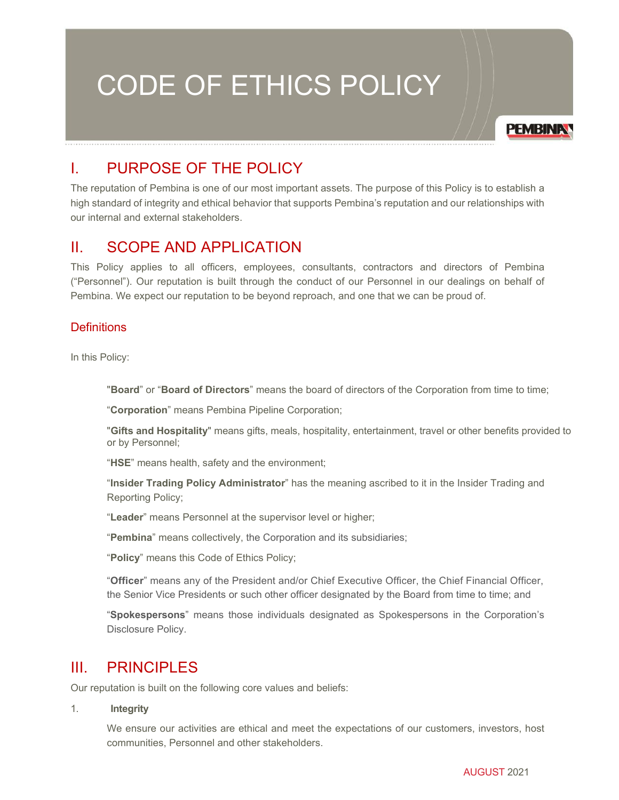# CODE OF ETHICS POLICY



# I. PURPOSE OF THE POLICY

The reputation of Pembina is one of our most important assets. The purpose of this Policy is to establish a high standard of integrity and ethical behavior that supports Pembina's reputation and our relationships with our internal and external stakeholders.

# II. SCOPE AND APPLICATION

This Policy applies to all officers, employees, consultants, contractors and directors of Pembina ("Personnel"). Our reputation is built through the conduct of our Personnel in our dealings on behalf of Pembina. We expect our reputation to be beyond reproach, and one that we can be proud of.

## **Definitions**

In this Policy:

"**Board**" or "**Board of Directors**" means the board of directors of the Corporation from time to time;

"**Corporation**" means Pembina Pipeline Corporation;

"**Gifts and Hospitality**" means gifts, meals, hospitality, entertainment, travel or other benefits provided to or by Personnel;

"**HSE**" means health, safety and the environment;

"**Insider Trading Policy Administrator**" has the meaning ascribed to it in the Insider Trading and Reporting Policy;

"**Leader**" means Personnel at the supervisor level or higher;

"**Pembina**" means collectively, the Corporation and its subsidiaries;

"**Policy**" means this Code of Ethics Policy;

"**Officer**" means any of the President and/or Chief Executive Officer, the Chief Financial Officer, the Senior Vice Presidents or such other officer designated by the Board from time to time; and

"**Spokespersons**" means those individuals designated as Spokespersons in the Corporation's Disclosure Policy.

# III. PRINCIPLES

Our reputation is built on the following core values and beliefs:

1. **Integrity**

We ensure our activities are ethical and meet the expectations of our customers, investors, host communities, Personnel and other stakeholders.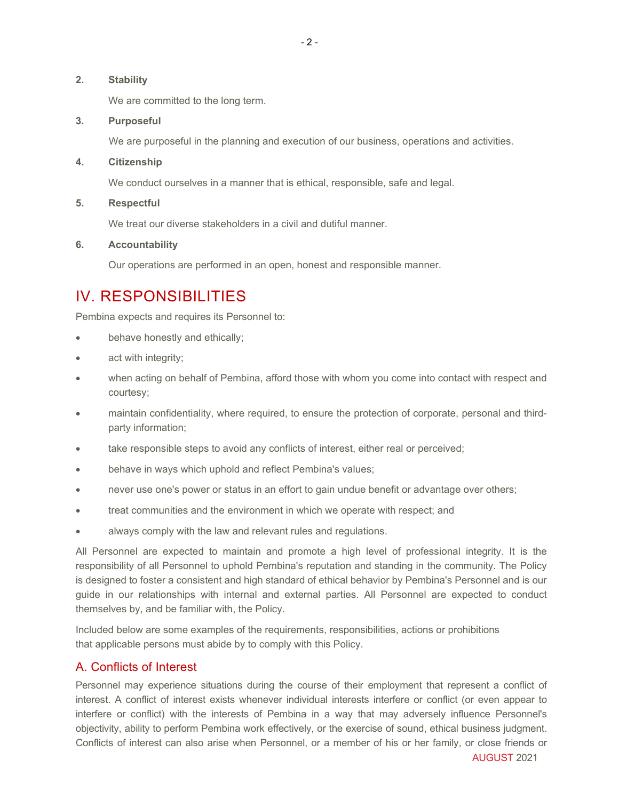#### **2. Stability**

We are committed to the long term.

#### **3. Purposeful**

We are purposeful in the planning and execution of our business, operations and activities.

#### **4. Citizenship**

We conduct ourselves in a manner that is ethical, responsible, safe and legal.

**5. Respectful**

We treat our diverse stakeholders in a civil and dutiful manner.

#### **6. Accountability**

Our operations are performed in an open, honest and responsible manner.

# IV. RESPONSIBILITIES

Pembina expects and requires its Personnel to:

- behave honestly and ethically;
- act with integrity;
- when acting on behalf of Pembina, afford those with whom you come into contact with respect and courtesy;
- maintain confidentiality, where required, to ensure the protection of corporate, personal and thirdparty information;
- take responsible steps to avoid any conflicts of interest, either real or perceived;
- behave in ways which uphold and reflect Pembina's values;
- never use one's power or status in an effort to gain undue benefit or advantage over others;
- treat communities and the environment in which we operate with respect; and
- always comply with the law and relevant rules and regulations.

All Personnel are expected to maintain and promote a high level of professional integrity. It is the responsibility of all Personnel to uphold Pembina's reputation and standing in the community. The Policy is designed to foster a consistent and high standard of ethical behavior by Pembina's Personnel and is our guide in our relationships with internal and external parties. All Personnel are expected to conduct themselves by, and be familiar with, the Policy.

Included below are some examples of the requirements, responsibilities, actions or prohibitions that applicable persons must abide by to comply with this Policy.

#### A. Conflicts of Interest

Personnel may experience situations during the course of their employment that represent a conflict of interest. A conflict of interest exists whenever individual interests interfere or conflict (or even appear to interfere or conflict) with the interests of Pembina in a way that may adversely influence Personnel's objectivity, ability to perform Pembina work effectively, or the exercise of sound, ethical business judgment. Conflicts of interest can also arise when Personnel, or a member of his or her family, or close friends or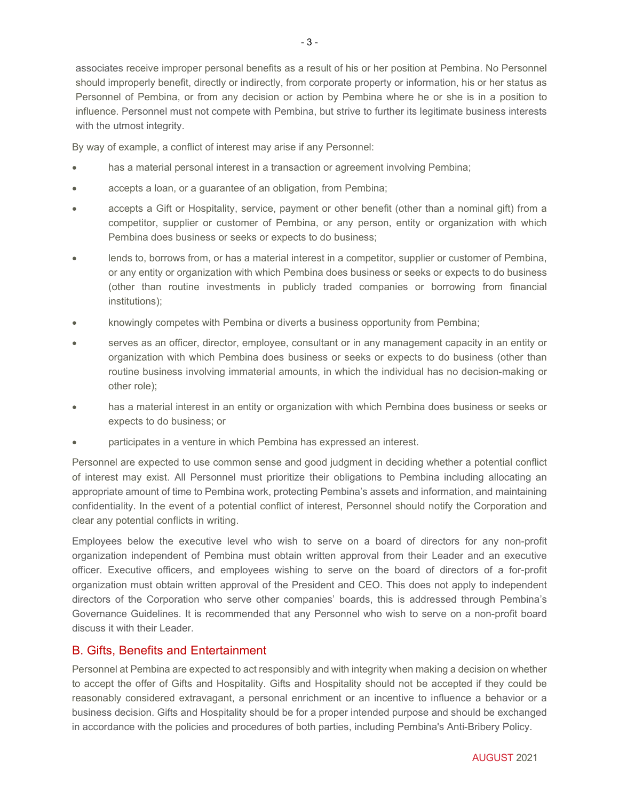associates receive improper personal benefits as a result of his or her position at Pembina. No Personnel should improperly benefit, directly or indirectly, from corporate property or information, his or her status as Personnel of Pembina, or from any decision or action by Pembina where he or she is in a position to influence. Personnel must not compete with Pembina, but strive to further its legitimate business interests with the utmost integrity.

By way of example, a conflict of interest may arise if any Personnel:

- has a material personal interest in a transaction or agreement involving Pembina;
- accepts a loan, or a guarantee of an obligation, from Pembina;
- accepts a Gift or Hospitality, service, payment or other benefit (other than a nominal gift) from a competitor, supplier or customer of Pembina, or any person, entity or organization with which Pembina does business or seeks or expects to do business;
- lends to, borrows from, or has a material interest in a competitor, supplier or customer of Pembina, or any entity or organization with which Pembina does business or seeks or expects to do business (other than routine investments in publicly traded companies or borrowing from financial institutions);
- knowingly competes with Pembina or diverts a business opportunity from Pembina;
- serves as an officer, director, employee, consultant or in any management capacity in an entity or organization with which Pembina does business or seeks or expects to do business (other than routine business involving immaterial amounts, in which the individual has no decision-making or other role);
- has a material interest in an entity or organization with which Pembina does business or seeks or expects to do business; or
- participates in a venture in which Pembina has expressed an interest.

Personnel are expected to use common sense and good judgment in deciding whether a potential conflict of interest may exist. All Personnel must prioritize their obligations to Pembina including allocating an appropriate amount of time to Pembina work, protecting Pembina's assets and information, and maintaining confidentiality. In the event of a potential conflict of interest, Personnel should notify the Corporation and clear any potential conflicts in writing.

Employees below the executive level who wish to serve on a board of directors for any non-profit organization independent of Pembina must obtain written approval from their Leader and an executive officer. Executive officers, and employees wishing to serve on the board of directors of a for-profit organization must obtain written approval of the President and CEO. This does not apply to independent directors of the Corporation who serve other companies' boards, this is addressed through Pembina's Governance Guidelines. It is recommended that any Personnel who wish to serve on a non-profit board discuss it with their Leader.

#### B. Gifts, Benefits and Entertainment

Personnel at Pembina are expected to act responsibly and with integrity when making a decision on whether to accept the offer of Gifts and Hospitality. Gifts and Hospitality should not be accepted if they could be reasonably considered extravagant, a personal enrichment or an incentive to influence a behavior or a business decision. Gifts and Hospitality should be for a proper intended purpose and should be exchanged in accordance with the policies and procedures of both parties, including Pembina's Anti-Bribery Policy.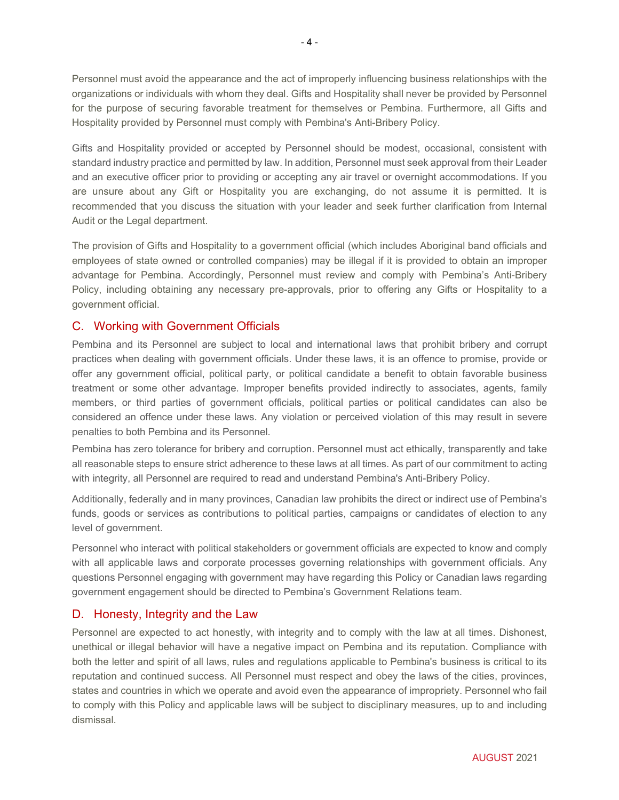Personnel must avoid the appearance and the act of improperly influencing business relationships with the organizations or individuals with whom they deal. Gifts and Hospitality shall never be provided by Personnel for the purpose of securing favorable treatment for themselves or Pembina. Furthermore, all Gifts and Hospitality provided by Personnel must comply with Pembina's Anti-Bribery Policy.

Gifts and Hospitality provided or accepted by Personnel should be modest, occasional, consistent with standard industry practice and permitted by law. In addition, Personnel must seek approval from their Leader and an executive officer prior to providing or accepting any air travel or overnight accommodations. If you are unsure about any Gift or Hospitality you are exchanging, do not assume it is permitted. It is recommended that you discuss the situation with your leader and seek further clarification from Internal Audit or the Legal department.

The provision of Gifts and Hospitality to a government official (which includes Aboriginal band officials and employees of state owned or controlled companies) may be illegal if it is provided to obtain an improper advantage for Pembina. Accordingly, Personnel must review and comply with Pembina's Anti-Bribery Policy, including obtaining any necessary pre-approvals, prior to offering any Gifts or Hospitality to a government official.

## C. Working with Government Officials

Pembina and its Personnel are subject to local and international laws that prohibit bribery and corrupt practices when dealing with government officials. Under these laws, it is an offence to promise, provide or offer any government official, political party, or political candidate a benefit to obtain favorable business treatment or some other advantage. Improper benefits provided indirectly to associates, agents, family members, or third parties of government officials, political parties or political candidates can also be considered an offence under these laws. Any violation or perceived violation of this may result in severe penalties to both Pembina and its Personnel.

Pembina has zero tolerance for bribery and corruption. Personnel must act ethically, transparently and take all reasonable steps to ensure strict adherence to these laws at all times. As part of our commitment to acting with integrity, all Personnel are required to read and understand Pembina's Anti-Bribery Policy.

Additionally, federally and in many provinces, Canadian law prohibits the direct or indirect use of Pembina's funds, goods or services as contributions to political parties, campaigns or candidates of election to any level of government.

Personnel who interact with political stakeholders or government officials are expected to know and comply with all applicable laws and corporate processes governing relationships with government officials. Any questions Personnel engaging with government may have regarding this Policy or Canadian laws regarding government engagement should be directed to Pembina's Government Relations team.

#### D. Honesty, Integrity and the Law

Personnel are expected to act honestly, with integrity and to comply with the law at all times. Dishonest, unethical or illegal behavior will have a negative impact on Pembina and its reputation. Compliance with both the letter and spirit of all laws, rules and regulations applicable to Pembina's business is critical to its reputation and continued success. All Personnel must respect and obey the laws of the cities, provinces, states and countries in which we operate and avoid even the appearance of impropriety. Personnel who fail to comply with this Policy and applicable laws will be subject to disciplinary measures, up to and including dismissal.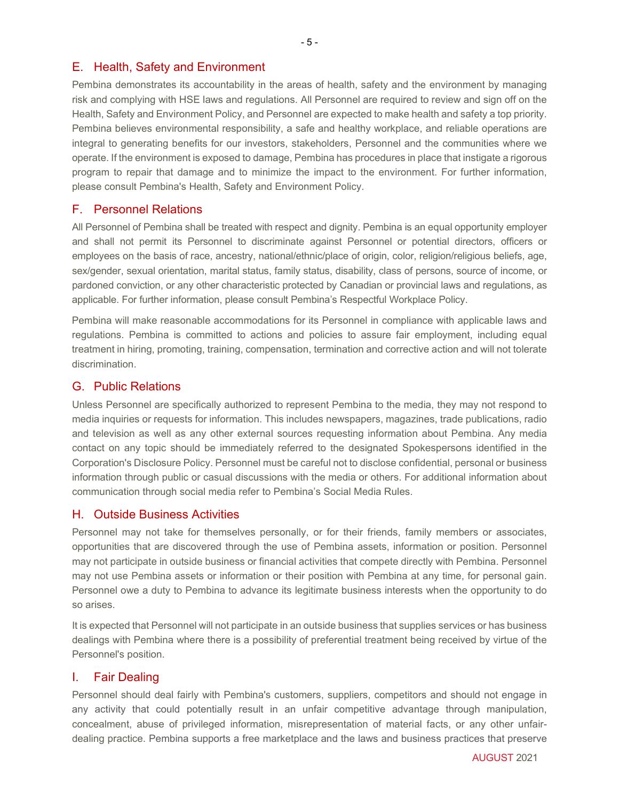#### E. Health, Safety and Environment

Pembina demonstrates its accountability in the areas of health, safety and the environment by managing risk and complying with HSE laws and regulations. All Personnel are required to review and sign off on the Health, Safety and Environment Policy, and Personnel are expected to make health and safety a top priority. Pembina believes environmental responsibility, a safe and healthy workplace, and reliable operations are integral to generating benefits for our investors, stakeholders, Personnel and the communities where we operate. If the environment is exposed to damage, Pembina has procedures in place that instigate a rigorous program to repair that damage and to minimize the impact to the environment. For further information, please consult Pembina's Health, Safety and Environment Policy.

#### F. Personnel Relations

All Personnel of Pembina shall be treated with respect and dignity. Pembina is an equal opportunity employer and shall not permit its Personnel to discriminate against Personnel or potential directors, officers or employees on the basis of race, ancestry, national/ethnic/place of origin, color, religion/religious beliefs, age, sex/gender, sexual orientation, marital status, family status, disability, class of persons, source of income, or pardoned conviction, or any other characteristic protected by Canadian or provincial laws and regulations, as applicable. For further information, please consult Pembina's Respectful Workplace Policy.

Pembina will make reasonable accommodations for its Personnel in compliance with applicable laws and regulations. Pembina is committed to actions and policies to assure fair employment, including equal treatment in hiring, promoting, training, compensation, termination and corrective action and will not tolerate discrimination.

#### G. Public Relations

Unless Personnel are specifically authorized to represent Pembina to the media, they may not respond to media inquiries or requests for information. This includes newspapers, magazines, trade publications, radio and television as well as any other external sources requesting information about Pembina. Any media contact on any topic should be immediately referred to the designated Spokespersons identified in the Corporation's Disclosure Policy. Personnel must be careful not to disclose confidential, personal or business information through public or casual discussions with the media or others. For additional information about communication through social media refer to Pembina's Social Media Rules.

#### H. Outside Business Activities

Personnel may not take for themselves personally, or for their friends, family members or associates, opportunities that are discovered through the use of Pembina assets, information or position. Personnel may not participate in outside business or financial activities that compete directly with Pembina. Personnel may not use Pembina assets or information or their position with Pembina at any time, for personal gain. Personnel owe a duty to Pembina to advance its legitimate business interests when the opportunity to do so arises.

It is expected that Personnel will not participate in an outside business that supplies services or has business dealings with Pembina where there is a possibility of preferential treatment being received by virtue of the Personnel's position.

#### I. Fair Dealing

Personnel should deal fairly with Pembina's customers, suppliers, competitors and should not engage in any activity that could potentially result in an unfair competitive advantage through manipulation, concealment, abuse of privileged information, misrepresentation of material facts, or any other unfairdealing practice. Pembina supports a free marketplace and the laws and business practices that preserve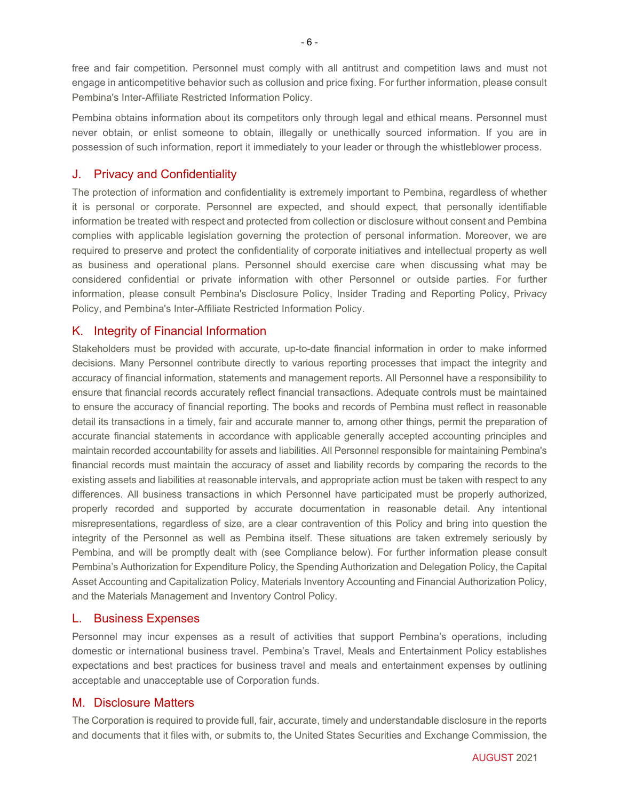free and fair competition. Personnel must comply with all antitrust and competition laws and must not engage in anticompetitive behavior such as collusion and price fixing. For further information, please consult Pembina's Inter-Affiliate Restricted Information Policy.

Pembina obtains information about its competitors only through legal and ethical means. Personnel must never obtain, or enlist someone to obtain, illegally or unethically sourced information. If you are in possession of such information, report it immediately to your leader or through the whistleblower process.

#### J. Privacy and Confidentiality

The protection of information and confidentiality is extremely important to Pembina, regardless of whether it is personal or corporate. Personnel are expected, and should expect, that personally identifiable information be treated with respect and protected from collection or disclosure without consent and Pembina complies with applicable legislation governing the protection of personal information. Moreover, we are required to preserve and protect the confidentiality of corporate initiatives and intellectual property as well as business and operational plans. Personnel should exercise care when discussing what may be considered confidential or private information with other Personnel or outside parties. For further information, please consult Pembina's Disclosure Policy, Insider Trading and Reporting Policy, Privacy Policy, and Pembina's Inter-Affiliate Restricted Information Policy.

#### K. Integrity of Financial Information

Stakeholders must be provided with accurate, up-to-date financial information in order to make informed decisions. Many Personnel contribute directly to various reporting processes that impact the integrity and accuracy of financial information, statements and management reports. All Personnel have a responsibility to ensure that financial records accurately reflect financial transactions. Adequate controls must be maintained to ensure the accuracy of financial reporting. The books and records of Pembina must reflect in reasonable detail its transactions in a timely, fair and accurate manner to, among other things, permit the preparation of accurate financial statements in accordance with applicable generally accepted accounting principles and maintain recorded accountability for assets and liabilities. All Personnel responsible for maintaining Pembina's financial records must maintain the accuracy of asset and liability records by comparing the records to the existing assets and liabilities at reasonable intervals, and appropriate action must be taken with respect to any differences. All business transactions in which Personnel have participated must be properly authorized, properly recorded and supported by accurate documentation in reasonable detail. Any intentional misrepresentations, regardless of size, are a clear contravention of this Policy and bring into question the integrity of the Personnel as well as Pembina itself. These situations are taken extremely seriously by Pembina, and will be promptly dealt with (see Compliance below). For further information please consult Pembina's Authorization for Expenditure Policy, the Spending Authorization and Delegation Policy, the Capital Asset Accounting and Capitalization Policy, Materials Inventory Accounting and Financial Authorization Policy, and the Materials Management and Inventory Control Policy.

#### L. Business Expenses

Personnel may incur expenses as a result of activities that support Pembina's operations, including domestic or international business travel. Pembina's Travel, Meals and Entertainment Policy establishes expectations and best practices for business travel and meals and entertainment expenses by outlining acceptable and unacceptable use of Corporation funds.

## M. Disclosure Matters

The Corporation is required to provide full, fair, accurate, timely and understandable disclosure in the reports and documents that it files with, or submits to, the United States Securities and Exchange Commission, the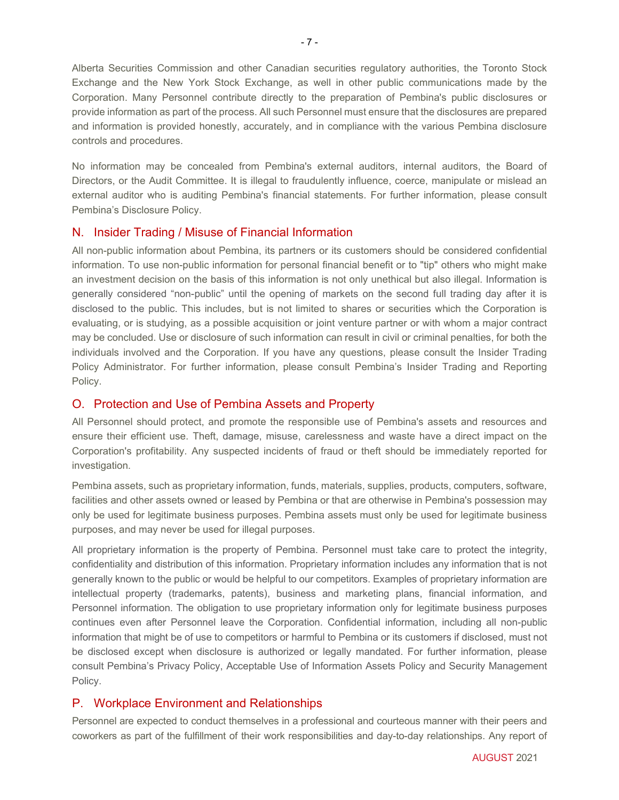Alberta Securities Commission and other Canadian securities regulatory authorities, the Toronto Stock Exchange and the New York Stock Exchange, as well in other public communications made by the Corporation. Many Personnel contribute directly to the preparation of Pembina's public disclosures or provide information as part of the process. All such Personnel must ensure that the disclosures are prepared and information is provided honestly, accurately, and in compliance with the various Pembina disclosure controls and procedures.

No information may be concealed from Pembina's external auditors, internal auditors, the Board of Directors, or the Audit Committee. It is illegal to fraudulently influence, coerce, manipulate or mislead an external auditor who is auditing Pembina's financial statements. For further information, please consult Pembina's Disclosure Policy.

#### N. Insider Trading / Misuse of Financial Information

All non-public information about Pembina, its partners or its customers should be considered confidential information. To use non-public information for personal financial benefit or to "tip" others who might make an investment decision on the basis of this information is not only unethical but also illegal. Information is generally considered "non-public" until the opening of markets on the second full trading day after it is disclosed to the public. This includes, but is not limited to shares or securities which the Corporation is evaluating, or is studying, as a possible acquisition or joint venture partner or with whom a major contract may be concluded. Use or disclosure of such information can result in civil or criminal penalties, for both the individuals involved and the Corporation. If you have any questions, please consult the Insider Trading Policy Administrator. For further information, please consult Pembina's Insider Trading and Reporting Policy.

## O. Protection and Use of Pembina Assets and Property

All Personnel should protect, and promote the responsible use of Pembina's assets and resources and ensure their efficient use. Theft, damage, misuse, carelessness and waste have a direct impact on the Corporation's profitability. Any suspected incidents of fraud or theft should be immediately reported for investigation.

Pembina assets, such as proprietary information, funds, materials, supplies, products, computers, software, facilities and other assets owned or leased by Pembina or that are otherwise in Pembina's possession may only be used for legitimate business purposes. Pembina assets must only be used for legitimate business purposes, and may never be used for illegal purposes.

All proprietary information is the property of Pembina. Personnel must take care to protect the integrity, confidentiality and distribution of this information. Proprietary information includes any information that is not generally known to the public or would be helpful to our competitors. Examples of proprietary information are intellectual property (trademarks, patents), business and marketing plans, financial information, and Personnel information. The obligation to use proprietary information only for legitimate business purposes continues even after Personnel leave the Corporation. Confidential information, including all non-public information that might be of use to competitors or harmful to Pembina or its customers if disclosed, must not be disclosed except when disclosure is authorized or legally mandated. For further information, please consult Pembina's Privacy Policy, Acceptable Use of Information Assets Policy and Security Management Policy.

## P. Workplace Environment and Relationships

Personnel are expected to conduct themselves in a professional and courteous manner with their peers and coworkers as part of the fulfillment of their work responsibilities and day-to-day relationships. Any report of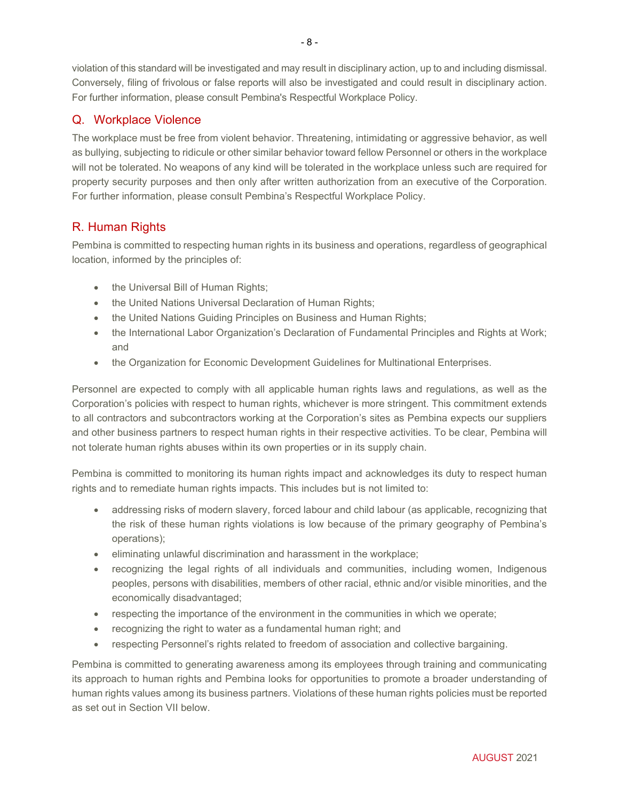violation of this standard will be investigated and may result in disciplinary action, up to and including dismissal. Conversely, filing of frivolous or false reports will also be investigated and could result in disciplinary action. For further information, please consult Pembina's Respectful Workplace Policy.

## Q. Workplace Violence

The workplace must be free from violent behavior. Threatening, intimidating or aggressive behavior, as well as bullying, subjecting to ridicule or other similar behavior toward fellow Personnel or others in the workplace will not be tolerated. No weapons of any kind will be tolerated in the workplace unless such are required for property security purposes and then only after written authorization from an executive of the Corporation. For further information, please consult Pembina's Respectful Workplace Policy.

## R. Human Rights

Pembina is committed to respecting human rights in its business and operations, regardless of geographical location, informed by the principles of:

- the Universal Bill of Human Rights;
- the United Nations Universal Declaration of Human Rights;
- the United Nations Guiding Principles on Business and Human Rights;
- the International Labor Organization's Declaration of Fundamental Principles and Rights at Work; and
- the Organization for Economic Development Guidelines for Multinational Enterprises.

Personnel are expected to comply with all applicable human rights laws and regulations, as well as the Corporation's policies with respect to human rights, whichever is more stringent. This commitment extends to all contractors and subcontractors working at the Corporation's sites as Pembina expects our suppliers and other business partners to respect human rights in their respective activities. To be clear, Pembina will not tolerate human rights abuses within its own properties or in its supply chain.

Pembina is committed to monitoring its human rights impact and acknowledges its duty to respect human rights and to remediate human rights impacts. This includes but is not limited to:

- addressing risks of modern slavery, forced labour and child labour (as applicable, recognizing that the risk of these human rights violations is low because of the primary geography of Pembina's operations);
- eliminating unlawful discrimination and harassment in the workplace;
- recognizing the legal rights of all individuals and communities, including women, Indigenous peoples, persons with disabilities, members of other racial, ethnic and/or visible minorities, and the economically disadvantaged;
- respecting the importance of the environment in the communities in which we operate;
- recognizing the right to water as a fundamental human right; and
- respecting Personnel's rights related to freedom of association and collective bargaining.

Pembina is committed to generating awareness among its employees through training and communicating its approach to human rights and Pembina looks for opportunities to promote a broader understanding of human rights values among its business partners. Violations of these human rights policies must be reported as set out in Section VII below.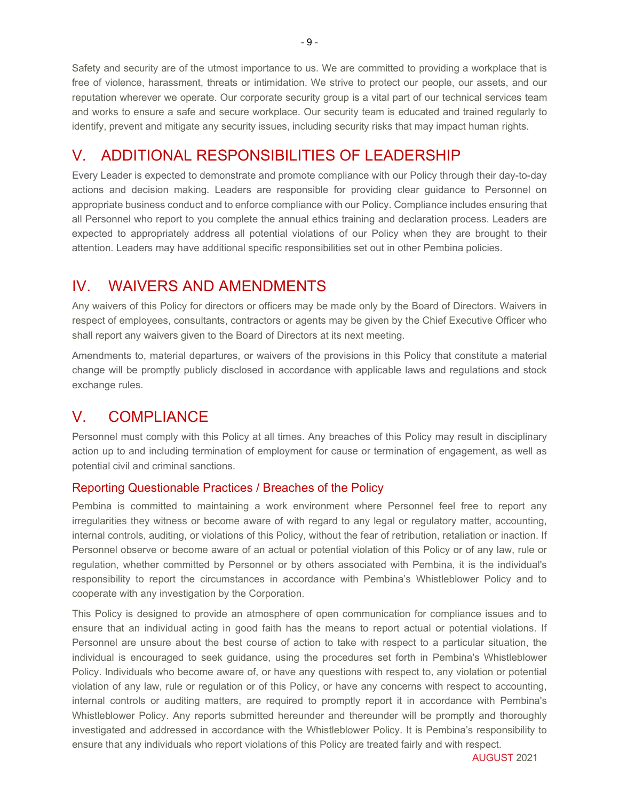Safety and security are of the utmost importance to us. We are committed to providing a workplace that is free of violence, harassment, threats or intimidation. We strive to protect our people, our assets, and our reputation wherever we operate. Our corporate security group is a vital part of our technical services team and works to ensure a safe and secure workplace. Our security team is educated and trained regularly to identify, prevent and mitigate any security issues, including security risks that may impact human rights.

# V. ADDITIONAL RESPONSIBILITIES OF LEADERSHIP

Every Leader is expected to demonstrate and promote compliance with our Policy through their day-to-day actions and decision making. Leaders are responsible for providing clear guidance to Personnel on appropriate business conduct and to enforce compliance with our Policy. Compliance includes ensuring that all Personnel who report to you complete the annual ethics training and declaration process. Leaders are expected to appropriately address all potential violations of our Policy when they are brought to their attention. Leaders may have additional specific responsibilities set out in other Pembina policies.

# IV. WAIVERS AND AMENDMENTS

Any waivers of this Policy for directors or officers may be made only by the Board of Directors. Waivers in respect of employees, consultants, contractors or agents may be given by the Chief Executive Officer who shall report any waivers given to the Board of Directors at its next meeting.

Amendments to, material departures, or waivers of the provisions in this Policy that constitute a material change will be promptly publicly disclosed in accordance with applicable laws and regulations and stock exchange rules.

# V. COMPLIANCE

Personnel must comply with this Policy at all times. Any breaches of this Policy may result in disciplinary action up to and including termination of employment for cause or termination of engagement, as well as potential civil and criminal sanctions.

## Reporting Questionable Practices / Breaches of the Policy

Pembina is committed to maintaining a work environment where Personnel feel free to report any irregularities they witness or become aware of with regard to any legal or regulatory matter, accounting, internal controls, auditing, or violations of this Policy, without the fear of retribution, retaliation or inaction. If Personnel observe or become aware of an actual or potential violation of this Policy or of any law, rule or regulation, whether committed by Personnel or by others associated with Pembina, it is the individual's responsibility to report the circumstances in accordance with Pembina's Whistleblower Policy and to cooperate with any investigation by the Corporation.

This Policy is designed to provide an atmosphere of open communication for compliance issues and to ensure that an individual acting in good faith has the means to report actual or potential violations. If Personnel are unsure about the best course of action to take with respect to a particular situation, the individual is encouraged to seek guidance, using the procedures set forth in Pembina's Whistleblower Policy. Individuals who become aware of, or have any questions with respect to, any violation or potential violation of any law, rule or regulation or of this Policy, or have any concerns with respect to accounting, internal controls or auditing matters, are required to promptly report it in accordance with Pembina's Whistleblower Policy. Any reports submitted hereunder and thereunder will be promptly and thoroughly investigated and addressed in accordance with the Whistleblower Policy. It is Pembina's responsibility to ensure that any individuals who report violations of this Policy are treated fairly and with respect.